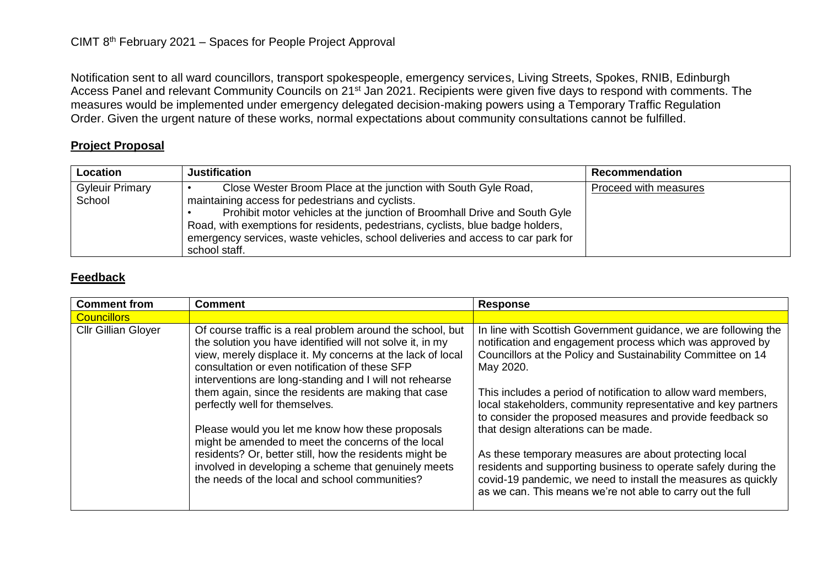Notification sent to all ward councillors, transport spokespeople, emergency services, Living Streets, Spokes, RNIB, Edinburgh Access Panel and relevant Community Councils on 21<sup>st</sup> Jan 2021. Recipients were given five days to respond with comments. The measures would be implemented under emergency delegated decision-making powers using a Temporary Traffic Regulation Order. Given the urgent nature of these works, normal expectations about community consultations cannot be fulfilled.

## **Project Proposal**

| Location                         | <b>Justification</b>                                                                                                                                                                                                                                                                                                                                                                    | <b>Recommendation</b> |
|----------------------------------|-----------------------------------------------------------------------------------------------------------------------------------------------------------------------------------------------------------------------------------------------------------------------------------------------------------------------------------------------------------------------------------------|-----------------------|
| <b>Gyleuir Primary</b><br>School | Close Wester Broom Place at the junction with South Gyle Road,<br>maintaining access for pedestrians and cyclists.<br>Prohibit motor vehicles at the junction of Broomhall Drive and South Gyle<br>Road, with exemptions for residents, pedestrians, cyclists, blue badge holders,<br>emergency services, waste vehicles, school deliveries and access to car park for<br>school staff. | Proceed with measures |

## **Feedback**

| <b>Comment from</b>        | <b>Comment</b>                                                                                                                                                                                                                                                                                                                                                                                                                                                                                                                                                                                                                                                              | <b>Response</b>                                                                                                                                                                                                                                                                                                                                                                                                                                                                                                                                                                                                                                                                                             |
|----------------------------|-----------------------------------------------------------------------------------------------------------------------------------------------------------------------------------------------------------------------------------------------------------------------------------------------------------------------------------------------------------------------------------------------------------------------------------------------------------------------------------------------------------------------------------------------------------------------------------------------------------------------------------------------------------------------------|-------------------------------------------------------------------------------------------------------------------------------------------------------------------------------------------------------------------------------------------------------------------------------------------------------------------------------------------------------------------------------------------------------------------------------------------------------------------------------------------------------------------------------------------------------------------------------------------------------------------------------------------------------------------------------------------------------------|
| <b>Councillors</b>         |                                                                                                                                                                                                                                                                                                                                                                                                                                                                                                                                                                                                                                                                             |                                                                                                                                                                                                                                                                                                                                                                                                                                                                                                                                                                                                                                                                                                             |
| <b>Cllr Gillian Glover</b> | Of course traffic is a real problem around the school, but<br>the solution you have identified will not solve it, in my<br>view, merely displace it. My concerns at the lack of local<br>consultation or even notification of these SFP<br>interventions are long-standing and I will not rehearse<br>them again, since the residents are making that case<br>perfectly well for themselves.<br>Please would you let me know how these proposals<br>might be amended to meet the concerns of the local<br>residents? Or, better still, how the residents might be<br>involved in developing a scheme that genuinely meets<br>the needs of the local and school communities? | In line with Scottish Government guidance, we are following the<br>notification and engagement process which was approved by<br>Councillors at the Policy and Sustainability Committee on 14<br>May 2020.<br>This includes a period of notification to allow ward members,<br>local stakeholders, community representative and key partners<br>to consider the proposed measures and provide feedback so<br>that design alterations can be made.<br>As these temporary measures are about protecting local<br>residents and supporting business to operate safely during the<br>covid-19 pandemic, we need to install the measures as quickly<br>as we can. This means we're not able to carry out the full |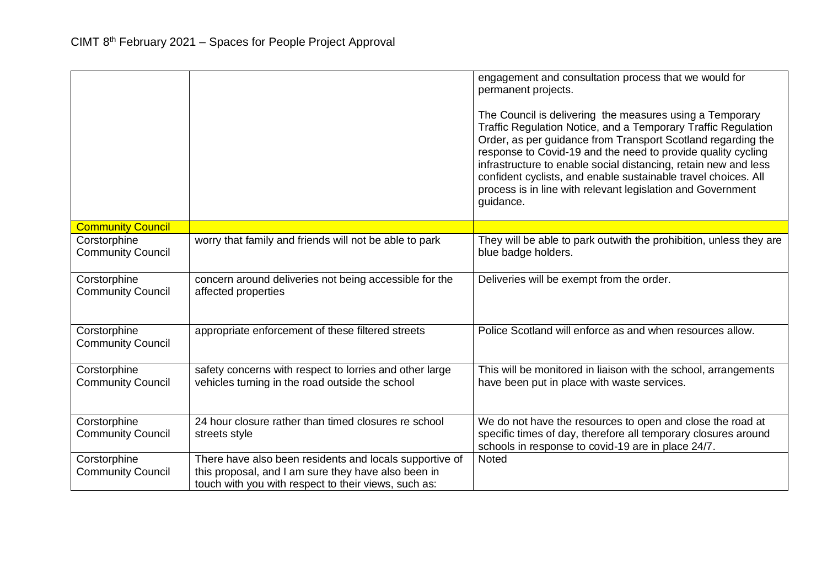|                                          |                                                                                                                                                                        | engagement and consultation process that we would for<br>permanent projects.<br>The Council is delivering the measures using a Temporary<br>Traffic Regulation Notice, and a Temporary Traffic Regulation<br>Order, as per guidance from Transport Scotland regarding the<br>response to Covid-19 and the need to provide quality cycling<br>infrastructure to enable social distancing, retain new and less<br>confident cyclists, and enable sustainable travel choices. All<br>process is in line with relevant legislation and Government<br>guidance. |
|------------------------------------------|------------------------------------------------------------------------------------------------------------------------------------------------------------------------|------------------------------------------------------------------------------------------------------------------------------------------------------------------------------------------------------------------------------------------------------------------------------------------------------------------------------------------------------------------------------------------------------------------------------------------------------------------------------------------------------------------------------------------------------------|
| <b>Community Council</b>                 |                                                                                                                                                                        |                                                                                                                                                                                                                                                                                                                                                                                                                                                                                                                                                            |
| Corstorphine<br><b>Community Council</b> | worry that family and friends will not be able to park                                                                                                                 | They will be able to park outwith the prohibition, unless they are<br>blue badge holders.                                                                                                                                                                                                                                                                                                                                                                                                                                                                  |
| Corstorphine<br><b>Community Council</b> | concern around deliveries not being accessible for the<br>affected properties                                                                                          | Deliveries will be exempt from the order.                                                                                                                                                                                                                                                                                                                                                                                                                                                                                                                  |
| Corstorphine<br><b>Community Council</b> | appropriate enforcement of these filtered streets                                                                                                                      | Police Scotland will enforce as and when resources allow.                                                                                                                                                                                                                                                                                                                                                                                                                                                                                                  |
| Corstorphine<br><b>Community Council</b> | safety concerns with respect to lorries and other large<br>vehicles turning in the road outside the school                                                             | This will be monitored in liaison with the school, arrangements<br>have been put in place with waste services.                                                                                                                                                                                                                                                                                                                                                                                                                                             |
| Corstorphine<br><b>Community Council</b> | 24 hour closure rather than timed closures re school<br>streets style                                                                                                  | We do not have the resources to open and close the road at<br>specific times of day, therefore all temporary closures around<br>schools in response to covid-19 are in place 24/7.                                                                                                                                                                                                                                                                                                                                                                         |
| Corstorphine<br><b>Community Council</b> | There have also been residents and locals supportive of<br>this proposal, and I am sure they have also been in<br>touch with you with respect to their views, such as: | Noted                                                                                                                                                                                                                                                                                                                                                                                                                                                                                                                                                      |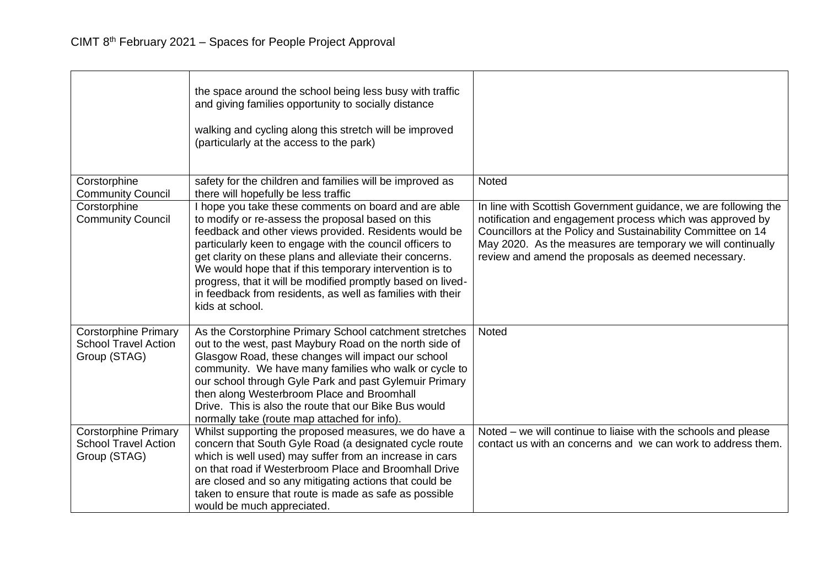|                                                                            | the space around the school being less busy with traffic<br>and giving families opportunity to socially distance<br>walking and cycling along this stretch will be improved<br>(particularly at the access to the park)                                                                                                                                                                                                                                                                               |                                                                                                                                                                                                                                                                                                                    |
|----------------------------------------------------------------------------|-------------------------------------------------------------------------------------------------------------------------------------------------------------------------------------------------------------------------------------------------------------------------------------------------------------------------------------------------------------------------------------------------------------------------------------------------------------------------------------------------------|--------------------------------------------------------------------------------------------------------------------------------------------------------------------------------------------------------------------------------------------------------------------------------------------------------------------|
| Corstorphine<br><b>Community Council</b>                                   | safety for the children and families will be improved as<br>there will hopefully be less traffic                                                                                                                                                                                                                                                                                                                                                                                                      | <b>Noted</b>                                                                                                                                                                                                                                                                                                       |
| Corstorphine<br><b>Community Council</b>                                   | I hope you take these comments on board and are able<br>to modify or re-assess the proposal based on this<br>feedback and other views provided. Residents would be<br>particularly keen to engage with the council officers to<br>get clarity on these plans and alleviate their concerns.<br>We would hope that if this temporary intervention is to<br>progress, that it will be modified promptly based on lived-<br>in feedback from residents, as well as families with their<br>kids at school. | In line with Scottish Government guidance, we are following the<br>notification and engagement process which was approved by<br>Councillors at the Policy and Sustainability Committee on 14<br>May 2020. As the measures are temporary we will continually<br>review and amend the proposals as deemed necessary. |
| <b>Corstorphine Primary</b><br><b>School Travel Action</b><br>Group (STAG) | As the Corstorphine Primary School catchment stretches<br>out to the west, past Maybury Road on the north side of<br>Glasgow Road, these changes will impact our school<br>community. We have many families who walk or cycle to<br>our school through Gyle Park and past Gylemuir Primary<br>then along Westerbroom Place and Broomhall<br>Drive. This is also the route that our Bike Bus would<br>normally take (route map attached for info).                                                     | <b>Noted</b>                                                                                                                                                                                                                                                                                                       |
| <b>Corstorphine Primary</b><br><b>School Travel Action</b><br>Group (STAG) | Whilst supporting the proposed measures, we do have a<br>concern that South Gyle Road (a designated cycle route<br>which is well used) may suffer from an increase in cars<br>on that road if Westerbroom Place and Broomhall Drive<br>are closed and so any mitigating actions that could be<br>taken to ensure that route is made as safe as possible<br>would be much appreciated.                                                                                                                 | Noted – we will continue to liaise with the schools and please<br>contact us with an concerns and we can work to address them.                                                                                                                                                                                     |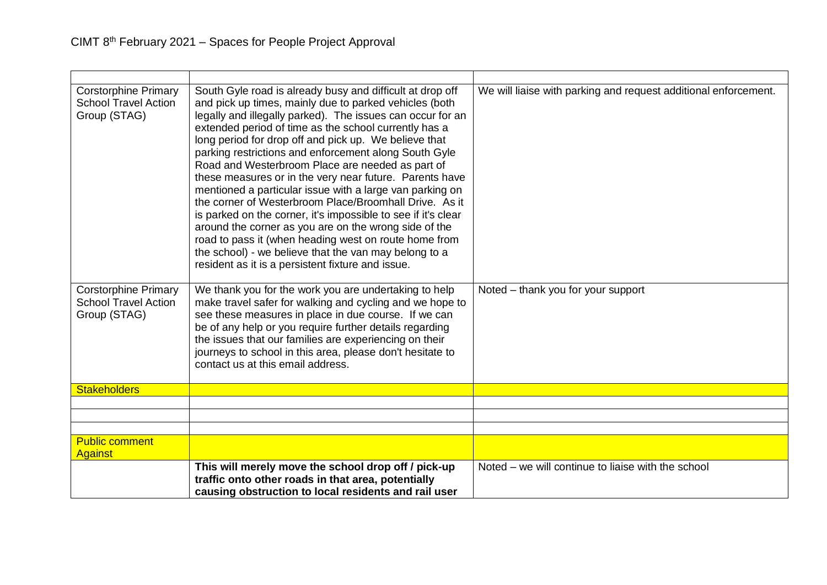| <b>Corstorphine Primary</b><br><b>School Travel Action</b><br>Group (STAG) | South Gyle road is already busy and difficult at drop off<br>and pick up times, mainly due to parked vehicles (both<br>legally and illegally parked). The issues can occur for an<br>extended period of time as the school currently has a<br>long period for drop off and pick up. We believe that<br>parking restrictions and enforcement along South Gyle<br>Road and Westerbroom Place are needed as part of<br>these measures or in the very near future. Parents have<br>mentioned a particular issue with a large van parking on<br>the corner of Westerbroom Place/Broomhall Drive. As it<br>is parked on the corner, it's impossible to see if it's clear<br>around the corner as you are on the wrong side of the<br>road to pass it (when heading west on route home from<br>the school) - we believe that the van may belong to a<br>resident as it is a persistent fixture and issue. | We will liaise with parking and request additional enforcement. |
|----------------------------------------------------------------------------|----------------------------------------------------------------------------------------------------------------------------------------------------------------------------------------------------------------------------------------------------------------------------------------------------------------------------------------------------------------------------------------------------------------------------------------------------------------------------------------------------------------------------------------------------------------------------------------------------------------------------------------------------------------------------------------------------------------------------------------------------------------------------------------------------------------------------------------------------------------------------------------------------|-----------------------------------------------------------------|
| <b>Corstorphine Primary</b><br><b>School Travel Action</b><br>Group (STAG) | We thank you for the work you are undertaking to help<br>make travel safer for walking and cycling and we hope to<br>see these measures in place in due course. If we can<br>be of any help or you require further details regarding<br>the issues that our families are experiencing on their<br>journeys to school in this area, please don't hesitate to<br>contact us at this email address.                                                                                                                                                                                                                                                                                                                                                                                                                                                                                                   | Noted – thank you for your support                              |
| <b>Stakeholders</b>                                                        |                                                                                                                                                                                                                                                                                                                                                                                                                                                                                                                                                                                                                                                                                                                                                                                                                                                                                                    |                                                                 |
|                                                                            |                                                                                                                                                                                                                                                                                                                                                                                                                                                                                                                                                                                                                                                                                                                                                                                                                                                                                                    |                                                                 |
|                                                                            |                                                                                                                                                                                                                                                                                                                                                                                                                                                                                                                                                                                                                                                                                                                                                                                                                                                                                                    |                                                                 |
| <b>Public comment</b>                                                      |                                                                                                                                                                                                                                                                                                                                                                                                                                                                                                                                                                                                                                                                                                                                                                                                                                                                                                    |                                                                 |
| <b>Against</b>                                                             |                                                                                                                                                                                                                                                                                                                                                                                                                                                                                                                                                                                                                                                                                                                                                                                                                                                                                                    |                                                                 |
|                                                                            | This will merely move the school drop off / pick-up<br>traffic onto other roads in that area, potentially<br>causing obstruction to local residents and rail user                                                                                                                                                                                                                                                                                                                                                                                                                                                                                                                                                                                                                                                                                                                                  | Noted – we will continue to liaise with the school              |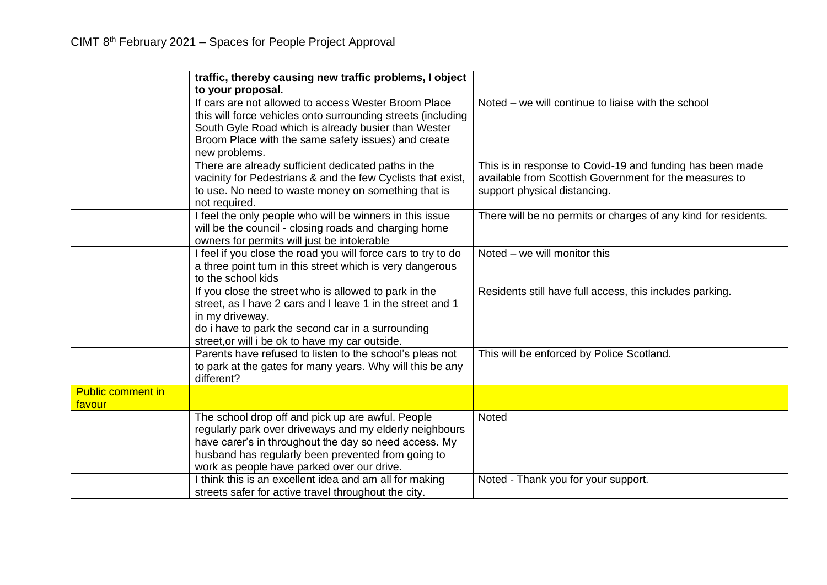|                                    | traffic, thereby causing new traffic problems, I object<br>to your proposal.                                                                                                                                                                                              |                                                                                                                                                     |
|------------------------------------|---------------------------------------------------------------------------------------------------------------------------------------------------------------------------------------------------------------------------------------------------------------------------|-----------------------------------------------------------------------------------------------------------------------------------------------------|
|                                    | If cars are not allowed to access Wester Broom Place<br>this will force vehicles onto surrounding streets (including<br>South Gyle Road which is already busier than Wester<br>Broom Place with the same safety issues) and create<br>new problems.                       | Noted – we will continue to liaise with the school                                                                                                  |
|                                    | There are already sufficient dedicated paths in the<br>vacinity for Pedestrians & and the few Cyclists that exist,<br>to use. No need to waste money on something that is<br>not required.                                                                                | This is in response to Covid-19 and funding has been made<br>available from Scottish Government for the measures to<br>support physical distancing. |
|                                    | I feel the only people who will be winners in this issue<br>will be the council - closing roads and charging home<br>owners for permits will just be intolerable                                                                                                          | There will be no permits or charges of any kind for residents.                                                                                      |
|                                    | I feel if you close the road you will force cars to try to do<br>a three point turn in this street which is very dangerous<br>to the school kids                                                                                                                          | Noted – we will monitor this                                                                                                                        |
|                                    | If you close the street who is allowed to park in the<br>street, as I have 2 cars and I leave 1 in the street and 1<br>in my driveway.<br>do i have to park the second car in a surrounding<br>street, or will i be ok to have my car outside.                            | Residents still have full access, this includes parking.                                                                                            |
|                                    | Parents have refused to listen to the school's pleas not<br>to park at the gates for many years. Why will this be any<br>different?                                                                                                                                       | This will be enforced by Police Scotland.                                                                                                           |
| <b>Public comment in</b><br>favour |                                                                                                                                                                                                                                                                           |                                                                                                                                                     |
|                                    | The school drop off and pick up are awful. People<br>regularly park over driveways and my elderly neighbours<br>have carer's in throughout the day so need access. My<br>husband has regularly been prevented from going to<br>work as people have parked over our drive. | Noted                                                                                                                                               |
|                                    | I think this is an excellent idea and am all for making<br>streets safer for active travel throughout the city.                                                                                                                                                           | Noted - Thank you for your support.                                                                                                                 |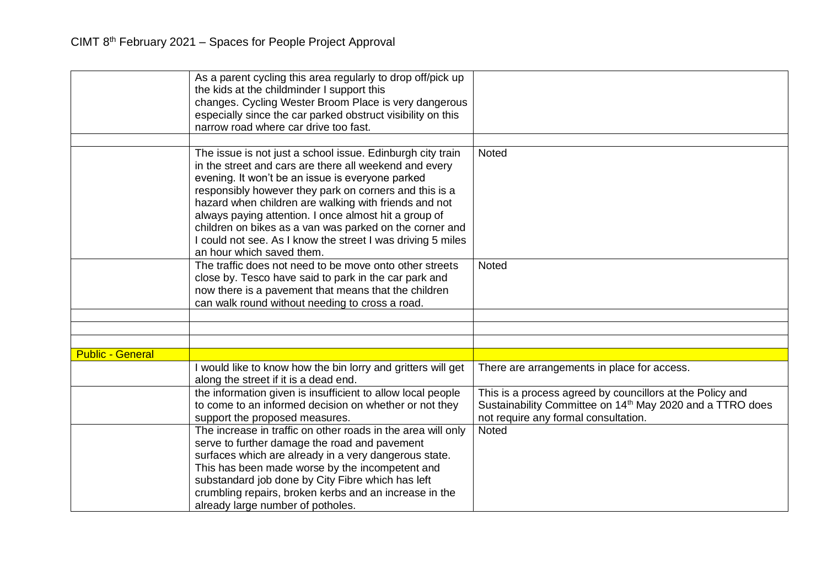|                         | As a parent cycling this area regularly to drop off/pick up<br>the kids at the childminder I support this<br>changes. Cycling Wester Broom Place is very dangerous<br>especially since the car parked obstruct visibility on this<br>narrow road where car drive too fast.                                                                                                                                                                                                                                  |                                                                                                                                                                            |
|-------------------------|-------------------------------------------------------------------------------------------------------------------------------------------------------------------------------------------------------------------------------------------------------------------------------------------------------------------------------------------------------------------------------------------------------------------------------------------------------------------------------------------------------------|----------------------------------------------------------------------------------------------------------------------------------------------------------------------------|
|                         | The issue is not just a school issue. Edinburgh city train<br>in the street and cars are there all weekend and every<br>evening. It won't be an issue is everyone parked<br>responsibly however they park on corners and this is a<br>hazard when children are walking with friends and not<br>always paying attention. I once almost hit a group of<br>children on bikes as a van was parked on the corner and<br>I could not see. As I know the street I was driving 5 miles<br>an hour which saved them. | <b>Noted</b>                                                                                                                                                               |
|                         | The traffic does not need to be move onto other streets<br>close by. Tesco have said to park in the car park and<br>now there is a pavement that means that the children<br>can walk round without needing to cross a road.                                                                                                                                                                                                                                                                                 | Noted                                                                                                                                                                      |
|                         |                                                                                                                                                                                                                                                                                                                                                                                                                                                                                                             |                                                                                                                                                                            |
|                         |                                                                                                                                                                                                                                                                                                                                                                                                                                                                                                             |                                                                                                                                                                            |
| <b>Public - General</b> |                                                                                                                                                                                                                                                                                                                                                                                                                                                                                                             |                                                                                                                                                                            |
|                         | would like to know how the bin lorry and gritters will get<br>along the street if it is a dead end.                                                                                                                                                                                                                                                                                                                                                                                                         | There are arrangements in place for access.                                                                                                                                |
|                         | the information given is insufficient to allow local people<br>to come to an informed decision on whether or not they<br>support the proposed measures.                                                                                                                                                                                                                                                                                                                                                     | This is a process agreed by councillors at the Policy and<br>Sustainability Committee on 14 <sup>th</sup> May 2020 and a TTRO does<br>not require any formal consultation. |
|                         | The increase in traffic on other roads in the area will only<br>serve to further damage the road and pavement<br>surfaces which are already in a very dangerous state.<br>This has been made worse by the incompetent and<br>substandard job done by City Fibre which has left<br>crumbling repairs, broken kerbs and an increase in the<br>already large number of potholes.                                                                                                                               | <b>Noted</b>                                                                                                                                                               |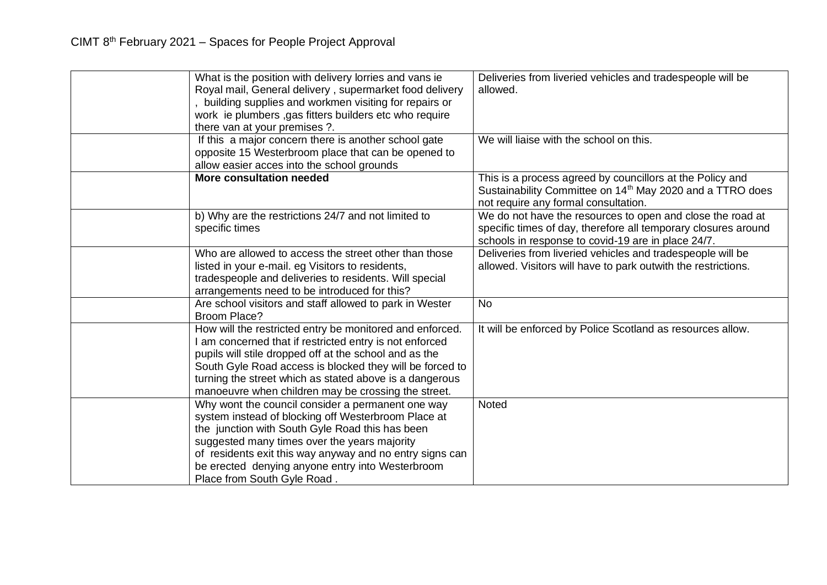| What is the position with delivery lorries and vans ie<br>Royal mail, General delivery, supermarket food delivery<br>building supplies and workmen visiting for repairs or<br>work ie plumbers, gas fitters builders etc who require<br>there van at your premises ?.                                                                                       | Deliveries from liveried vehicles and tradespeople will be<br>allowed.                                                                                                             |
|-------------------------------------------------------------------------------------------------------------------------------------------------------------------------------------------------------------------------------------------------------------------------------------------------------------------------------------------------------------|------------------------------------------------------------------------------------------------------------------------------------------------------------------------------------|
| If this a major concern there is another school gate<br>opposite 15 Westerbroom place that can be opened to<br>allow easier acces into the school grounds                                                                                                                                                                                                   | We will liaise with the school on this.                                                                                                                                            |
| <b>More consultation needed</b>                                                                                                                                                                                                                                                                                                                             | This is a process agreed by councillors at the Policy and<br>Sustainability Committee on 14 <sup>th</sup> May 2020 and a TTRO does<br>not require any formal consultation.         |
| b) Why are the restrictions 24/7 and not limited to<br>specific times                                                                                                                                                                                                                                                                                       | We do not have the resources to open and close the road at<br>specific times of day, therefore all temporary closures around<br>schools in response to covid-19 are in place 24/7. |
| Who are allowed to access the street other than those<br>listed in your e-mail. eg Visitors to residents,<br>tradespeople and deliveries to residents. Will special<br>arrangements need to be introduced for this?                                                                                                                                         | Deliveries from liveried vehicles and tradespeople will be<br>allowed. Visitors will have to park outwith the restrictions.                                                        |
| Are school visitors and staff allowed to park in Wester<br>Broom Place?                                                                                                                                                                                                                                                                                     | <b>No</b>                                                                                                                                                                          |
| How will the restricted entry be monitored and enforced.<br>I am concerned that if restricted entry is not enforced<br>pupils will stile dropped off at the school and as the<br>South Gyle Road access is blocked they will be forced to<br>turning the street which as stated above is a dangerous<br>manoeuvre when children may be crossing the street. | It will be enforced by Police Scotland as resources allow.                                                                                                                         |
| Why wont the council consider a permanent one way<br>system instead of blocking off Westerbroom Place at<br>the junction with South Gyle Road this has been<br>suggested many times over the years majority<br>of residents exit this way anyway and no entry signs can<br>be erected denying anyone entry into Westerbroom<br>Place from South Gyle Road.  | Noted                                                                                                                                                                              |